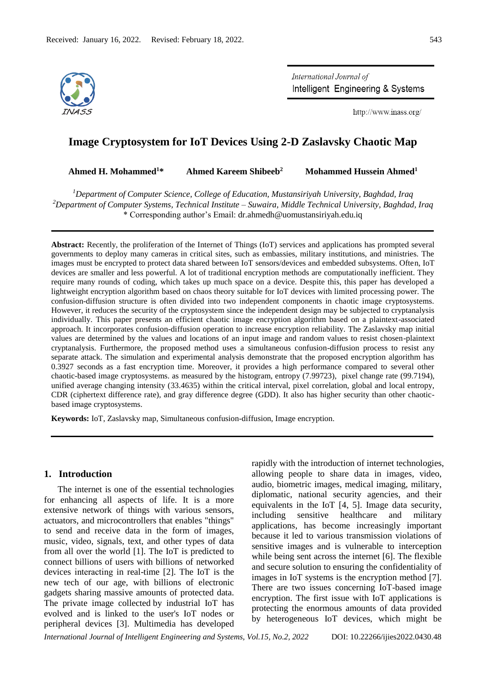

International Journal of Intelligent Engineering & Systems

http://www.inass.org/

# **Image Cryptosystem for IoT Devices Using 2-D Zaslavsky Chaotic Map**

**Ahmed H. Mohammed<sup>1</sup>\* Ahmed Kareem Shibeeb<sup>2</sup> Mohammed Hussein Ahmed<sup>1</sup>**

*<sup>1</sup>Department of Computer Science, College of Education, Mustansiriyah University, Baghdad, Iraq <sup>2</sup>Department of Computer Systems, Technical Institute – Suwaira, Middle Technical University, Baghdad, Iraq* \* Corresponding author's Email: dr.ahmedh@uomustansiriyah.edu.iq

**Abstract:** Recently, the proliferation of the Internet of Things (IoT) services and applications has prompted several governments to deploy many cameras in critical sites, such as embassies, military institutions, and ministries. The images must be encrypted to protect data shared between IoT sensors/devices and embedded subsystems. Often, IoT devices are smaller and less powerful. A lot of traditional encryption methods are computationally inefficient. They require many rounds of coding, which takes up much space on a device. Despite this, this paper has developed a lightweight encryption algorithm based on chaos theory suitable for IoT devices with limited processing power. The confusion-diffusion structure is often divided into two independent components in chaotic image cryptosystems. However, it reduces the security of the cryptosystem since the independent design may be subjected to cryptanalysis individually. This paper presents an efficient chaotic image encryption algorithm based on a plaintext-associated approach. It incorporates confusion-diffusion operation to increase encryption reliability. The Zaslavsky map initial values are determined by the values and locations of an input image and random values to resist chosen-plaintext cryptanalysis. Furthermore, the proposed method uses a simultaneous confusion-diffusion process to resist any separate attack. The simulation and experimental analysis demonstrate that the proposed encryption algorithm has 0.3927 seconds as a fast encryption time. Moreover, it provides a high performance compared to several other chaotic-based image cryptosystems. as measured by the histogram, entropy (7.99723), pixel change rate (99.7194), unified average changing intensity (33.4635) within the critical interval, pixel correlation, global and local entropy, CDR (ciphertext difference rate), and gray difference degree (GDD). It also has higher security than other chaoticbased image cryptosystems.

**Keywords:** IoT, Zaslavsky map, Simultaneous confusion-diffusion, Image encryption.

### **1. Introduction**

The internet is one of the essential technologies for enhancing all aspects of life. It is a more extensive network of things with various sensors, actuators, and microcontrollers that enables "things" to send and receive data in the form of images, music, video, signals, text, and other types of data from all over the world [1]. The IoT is predicted to connect billions of users with billions of networked devices interacting in real-time [2]. The IoT is the new tech of our age, with billions of electronic gadgets sharing massive amounts of protected data. The private image collected by industrial IoT has evolved and is linked to the user's IoT nodes or peripheral devices [3]. Multimedia has developed rapidly with the introduction of internet technologies, allowing people to share data in images, video, audio, biometric images, medical imaging, military, diplomatic, national security agencies, and their equivalents in the IoT [4, 5]. Image data security, including sensitive healthcare and military applications, has become increasingly important because it led to various transmission violations of sensitive images and is vulnerable to interception while being sent across the internet [6]. The flexible and secure solution to ensuring the confidentiality of images in IoT systems is the encryption method [7]. There are two issues concerning IoT-based image encryption. The first issue with IoT applications is protecting the enormous amounts of data provided by heterogeneous IoT devices, which might be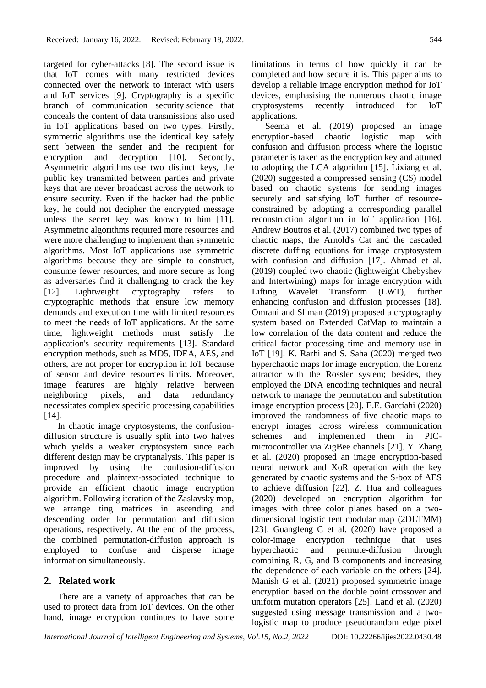targeted for cyber-attacks [8]. The second issue is that IoT comes with many restricted devices connected over the network to interact with users and IoT services [9]. Cryptography is a specific branch of communication security science that conceals the content of data transmissions also used in IoT applications based on two types. Firstly, symmetric algorithms use the identical key safely sent between the sender and the recipient for encryption and decryption [10]. Secondly, Asymmetric algorithms use two distinct keys, the public key transmitted between parties and private keys that are never broadcast across the network to ensure security. Even if the hacker had the public key, he could not decipher the encrypted message unless the secret key was known to him [11]. Asymmetric algorithms required more resources and were more challenging to implement than symmetric algorithms. Most IoT applications use symmetric algorithms because they are simple to construct, consume fewer resources, and more secure as long as adversaries find it challenging to crack the key [12]. Lightweight cryptography refers to cryptographic methods that ensure low memory demands and execution time with limited resources to meet the needs of IoT applications. At the same time, lightweight methods must satisfy the application's security requirements [13]. Standard encryption methods, such as MD5, IDEA, AES, and others, are not proper for encryption in IoT because of sensor and device resources limits. Moreover, image features are highly relative between neighboring pixels, and data redundancy necessitates complex specific processing capabilities [14].

In chaotic image cryptosystems, the confusiondiffusion structure is usually split into two halves which yields a weaker cryptosystem since each different design may be cryptanalysis. This paper is improved by using the confusion-diffusion procedure and plaintext-associated technique to provide an efficient chaotic image encryption algorithm. Following iteration of the Zaslavsky map, we arrange ting matrices in ascending and descending order for permutation and diffusion operations, respectively. At the end of the process, the combined permutation-diffusion approach is employed to confuse and disperse image information simultaneously.

# **2. Related work**

There are a variety of approaches that can be used to protect data from IoT devices. On the other hand, image encryption continues to have some limitations in terms of how quickly it can be completed and how secure it is. This paper aims to develop a reliable image encryption method for IoT devices, emphasising the numerous chaotic image cryptosystems recently introduced for IoT applications.

Seema et al. (2019) proposed an image encryption-based chaotic logistic map with confusion and diffusion process where the logistic parameter is taken as the encryption key and attuned to adopting the LCA algorithm [15]. Lixiang et al. (2020) suggested a compressed sensing (CS) model based on chaotic systems for sending images securely and satisfying IoT further of resourceconstrained by adopting a corresponding parallel reconstruction algorithm in IoT application [16]. Andrew Boutros et al. (2017) combined two types of chaotic maps, the Arnold's Cat and the cascaded discrete duffing equations for image cryptosystem with confusion and diffusion [17]. Ahmad et al. (2019) coupled two chaotic (lightweight Chebyshev and Intertwining) maps for image encryption with Lifting Wavelet Transform (LWT), further enhancing confusion and diffusion processes [18]. Omrani and Sliman (2019) proposed a cryptography system based on Extended CatMap to maintain a low correlation of the data content and reduce the critical factor processing time and memory use in IoT [19]. K. Rarhi and S. Saha (2020) merged two hyperchaotic maps for image encryption, the Lorenz attractor with the Rossler system; besides, they employed the DNA encoding techniques and neural network to manage the permutation and substitution image encryption process [20]. E.E. Garcíahi (2020) improved the randomness of five chaotic maps to encrypt images across wireless communication schemes and implemented them in PICmicrocontroller via ZigBee channels [21]. Y. Zhang et al. (2020) proposed an image encryption-based neural network and XoR operation with the key generated by chaotic systems and the S-box of AES to achieve diffusion [22]. Z. Hua and colleagues (2020) developed an encryption algorithm for images with three color planes based on a twodimensional logistic tent modular map (2DLTMM) [23]. Guangfeng C et al. (2020) have proposed a color-image encryption technique that uses hyperchaotic and permute-diffusion through combining R, G, and B components and increasing the dependence of each variable on the others [24]. Manish G et al. (2021) proposed symmetric image encryption based on the double point crossover and uniform mutation operators [25]. Land et al. (2020) suggested using message transmission and a twologistic map to produce pseudorandom edge pixel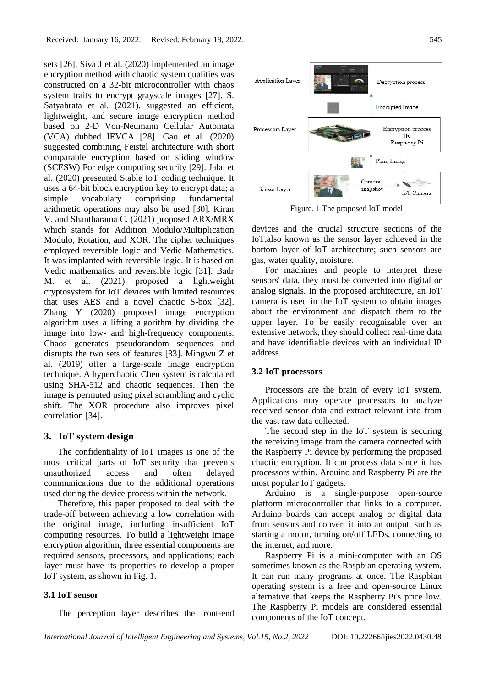sets [26]. Siva J et al. (2020) implemented an image encryption method with chaotic system qualities was constructed on a 32-bit microcontroller with chaos system traits to encrypt grayscale images [27]. S. Satyabrata et al. (2021). suggested an efficient, lightweight, and secure image encryption method based on 2-D Von-Neumann Cellular Automata (VCA) dubbed IEVCA [28]. Gao et al. (2020) suggested combining Feistel architecture with short comparable encryption based on sliding window (SCESW) For edge computing security [29]. Jalal et al. (2020) presented Stable IoT coding technique. It uses a 64-bit block encryption key to encrypt data; a simple vocabulary comprising fundamental arithmetic operations may also be used [30]. Kiran V. and Shantharama C. (2021) proposed ARX/MRX, which stands for Addition Modulo/Multiplication Modulo, Rotation, and XOR. The cipher techniques employed reversible logic and Vedic Mathematics. It was implanted with reversible logic. It is based on Vedic mathematics and reversible logic [31]. Badr M. et al. (2021) proposed a lightweight cryptosystem for IoT devices with limited resources that uses AES and a novel chaotic S-box [32]. Zhang Y (2020) proposed image encryption algorithm uses a lifting algorithm by dividing the image into low- and high-frequency components. Chaos generates pseudorandom sequences and disrupts the two sets of features [33]. Mingwu Z et al. (2019) offer a large-scale image encryption technique. A hyperchaotic Chen system is calculated using SHA-512 and chaotic sequences. Then the image is permuted using pixel scrambling and cyclic shift. The XOR procedure also improves pixel correlation [34].

### **3. IoT system design**

The confidentiality of IoT images is one of the most critical parts of IoT security that prevents unauthorized access and often delayed communications due to the additional operations used during the device process within the network.

Therefore, this paper proposed to deal with the trade-off between achieving a low correlation with the original image, including insufficient IoT computing resources. To build a lightweight image encryption algorithm, three essential components are required sensors, processors, and applications; each layer must have its properties to develop a proper IoT system, as shown in Fig. 1.

### **3.1 IoT sensor**

The perception layer describes the front-end



Figure. 1 The proposed IoT model

devices and the crucial structure sections of the IoT,also known as the sensor layer achieved in the bottom layer of IoT architecture; such sensors are gas, water quality, moisture.

For machines and people to interpret these sensors' data, they must be converted into digital or analog signals. In the proposed architecture, an IoT camera is used in the IoT system to obtain images about the environment and dispatch them to the upper layer. To be easily recognizable over an extensive network, they should collect real-time data and have identifiable devices with an individual IP address.

### **3.2 IoT processors**

Processors are the brain of every IoT system. Applications may operate processors to analyze received sensor data and extract relevant info from the vast raw data collected.

The second step in the IoT system is securing the receiving image from the camera connected with the Raspberry Pi device by performing the proposed chaotic encryption. It can process data since it has processors within. Arduino and Raspberry Pi are the most popular IoT gadgets.

Arduino is a single-purpose open-source platform microcontroller that links to a computer. Arduino boards can accept analog or digital data from sensors and convert it into an output, such as starting a motor, turning on/off LEDs, connecting to the internet, and more.

Raspberry Pi is a mini-computer with an OS sometimes known as the Raspbian operating system. It can run many programs at once. The Raspbian operating system is a free and open-source Linux alternative that keeps the Raspberry Pi's price low. The Raspberry Pi models are considered essential components of the IoT concept.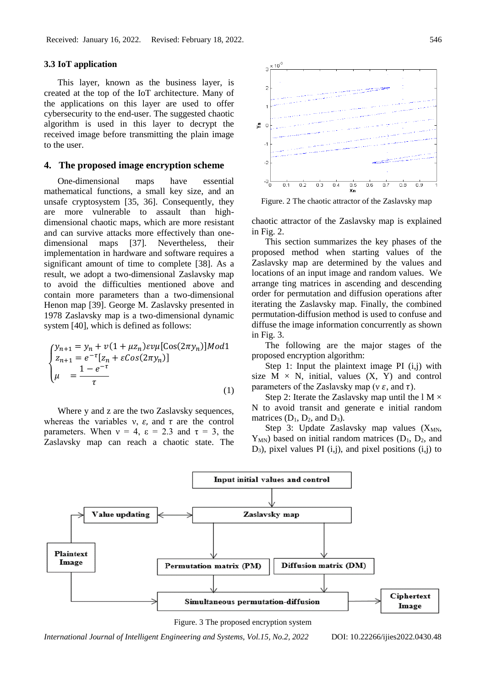### **3.3 IoT application**

This layer, known as the business layer, is created at the top of the IoT architecture. Many of the applications on this layer are used to offer cybersecurity to the end-user. The suggested chaotic algorithm is used in this layer to decrypt the received image before transmitting the plain image to the user.

## **4. The proposed image encryption scheme**

One-dimensional maps have essential mathematical functions, a small key size, and an unsafe cryptosystem [35, 36]. Consequently, they are more vulnerable to assault than highdimensional chaotic maps, which are more resistant and can survive attacks more effectively than onedimensional maps [37]. Nevertheless, their implementation in hardware and software requires a significant amount of time to complete [38]. As a result, we adopt a two-dimensional Zaslavsky map to avoid the difficulties mentioned above and contain more parameters than a two-dimensional Henon map [39]. George M. Zaslavsky presented in 1978 Zaslavsky map is a two-dimensional dynamic system [40], which is defined as follows:

$$
\begin{cases}\ny_{n+1} = y_n + v(1 + \mu z_n) \exp[\cos(2\pi y_n)] \text{Mod1} \\
z_{n+1} = e^{-\tau} [z_n + \varepsilon \cos(2\pi y_n)] \\
\mu = \frac{1 - e^{-\tau}}{\tau}\n\end{cases}
$$
\n(1)

Where y and z are the two Zaslavsky sequences, whereas the variables  $v$ ,  $\varepsilon$ , and  $\tau$  are the control parameters. When  $v = 4$ ,  $\varepsilon = 2.3$  and  $\tau = 3$ , the Zaslavsky map can reach a chaotic state. The



Figure. 2 The chaotic attractor of the Zaslavsky map

chaotic attractor of the Zaslavsky map is explained in Fig. 2.

This section summarizes the key phases of the proposed method when starting values of the Zaslavsky map are determined by the values and locations of an input image and random values. We arrange ting matrices in ascending and descending order for permutation and diffusion operations after iterating the Zaslavsky map. Finally, the combined permutation-diffusion method is used to confuse and diffuse the image information concurrently as shown in Fig. 3.

The following are the major stages of the proposed encryption algorithm:

Step 1: Input the plaintext image PI (i,j) with size  $M \times N$ , initial, values  $(X, Y)$  and control parameters of the Zaslavsky map ( $\nu \varepsilon$ , and  $\tau$ ).

Step 2: Iterate the Zaslavsky map until the  $1 M \times$ N to avoid transit and generate e initial random matrices  $(D_1, D_2, and D_3)$ .

Step 3: Update Zaslavsky map values  $(X_{MN},$  $Y_{MN}$ ) based on initial random matrices ( $D_1$ ,  $D_2$ , and  $D_3$ ), pixel values PI (i,j), and pixel positions (i,j) to



Figure. 3 The proposed encryption system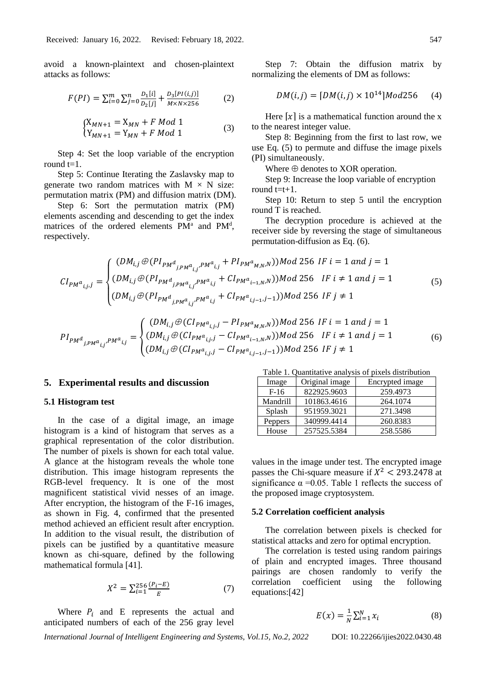avoid a known-plaintext and chosen-plaintext attacks as follows:

$$
F(PI) = \sum_{i=0}^{m} \sum_{j=0}^{n} \frac{D_1[i]}{D_2[j]} + \frac{D_3[PI(i,j)]}{M \times N \times 256}
$$
 (2)

$$
\begin{cases} X_{MN+1} = X_{MN} + F \text{ Mod } 1\\ Y_{MN+1} = Y_{MN} + F \text{ Mod } 1 \end{cases} (3)
$$

Step 4: Set the loop variable of the encryption round  $t=1$ .

Step 5: Continue Iterating the Zaslavsky map to generate two random matrices with  $M \times N$  size: permutation matrix (PM) and diffusion matrix (DM).

Step 6: Sort the permutation matrix (PM) elements ascending and descending to get the index matrices of the ordered elements PM<sup>a</sup> and PM<sup>d</sup>, respectively.

Step 7: Obtain the diffusion matrix by normalizing the elements of DM as follows:

$$
DM(i, j) = [DM(i, j) \times 10^{14}] \text{Mod}256 \quad (4)
$$

Here  $[x]$  is a mathematical function around the x to the nearest integer value.

Step 8: Beginning from the first to last row, we use Eq. (5) to permute and diffuse the image pixels (PI) simultaneously.

Where  $\oplus$  denotes to XOR operation.

Step 9: Increase the loop variable of encryption round  $t=t+1$ .

Step 10: Return to step 5 until the encryption round T is reached.

The decryption procedure is achieved at the receiver side by reversing the stage of simultaneous permutation-diffusion as Eq. (6).

$$
CI_{PM^{a}i,j,j} = \begin{cases} (DM_{i,j} \oplus (PI_{PM^{d}j,PM^{a}i,j} + PI_{PM^{a}M,N,N}))Mod 256 IF i = 1 and j = 1\\ (DM_{i,j} \oplus (PI_{PM^{d}j,PM^{a}i,j} + CI_{PM^{a}i-1,N,N}))Mod 256 IF i \neq 1 and j = 1\\ (DM_{i,j} \oplus (PI_{PM^{d}j,PM^{a}i,j} + CI_{PM^{a}i-1,N,N}))Mod 256 IF j \neq 1 \end{cases}
$$
(5)

$$
PI_{PM^{d}i_{jPM^{d}i_{j}}P^{M^{d}i_{j}}} = \begin{cases} (DM_{i,j} \oplus (CI_{PM^{d}i_{j},j} - PI_{PM^{d}i_{M,N},N}))Mod 256 IF i = 1 and j = 1\\ (DM_{i,j} \oplus (CI_{PM^{d}i_{j},j} - CI_{PM^{d}i_{i-1,N},N}))Mod 256 IF i \neq 1 and j = 1\\ (DM_{i,j} \oplus (CI_{PM^{d}i_{j},j} - CI_{PM^{d}i_{j-1},j-1}))Mod 256 IF j \neq 1 \end{cases} \tag{6}
$$

#### **5. Experimental results and discussion**

### **5.1 Histogram test**

In the case of a digital image, an image histogram is a kind of histogram that serves as a graphical representation of the color distribution. The number of pixels is shown for each total value. A glance at the histogram reveals the whole tone distribution. This image histogram represents the RGB-level frequency. It is one of the most magnificent statistical vivid nesses of an image. After encryption, the histogram of the F-16 images, as shown in Fig. 4, confirmed that the presented method achieved an efficient result after encryption. In addition to the visual result, the distribution of pixels can be justified by a quantitative measure known as chi-square, defined by the following mathematical formula [41].

$$
X^2 = \sum_{i=1}^{256} \frac{(P_i - E)}{E} \tag{7}
$$

Where  $P_i$  and E represents the actual and anticipated numbers of each of the 256 gray level

Table 1. Quantitative analysis of pixels distribution

| Image    | Original image | Encrypted image |
|----------|----------------|-----------------|
| $F-16$   | 822925.9603    | 259.4973        |
| Mandrill | 101863.4616    | 264.1074        |
| Splash   | 951959.3021    | 271.3498        |
| Peppers  | 340999.4414    | 260.8383        |
| House    | 257525.5384    | 258.5586        |

values in the image under test. The encrypted image passes the Chi-square measure if  $X^2$  < 293.2478 at significance  $\alpha = 0.05$ . Table 1 reflects the success of the proposed image cryptosystem.

#### **5.2 Correlation coefficient analysis**

The correlation between pixels is checked for statistical attacks and zero for optimal encryption.

The correlation is tested using random pairings of plain and encrypted images. Three thousand pairings are chosen randomly to verify the correlation coefficient using the following equations:[42]

$$
E(x) = \frac{1}{N} \sum_{i=1}^{N} x_i
$$
 (8)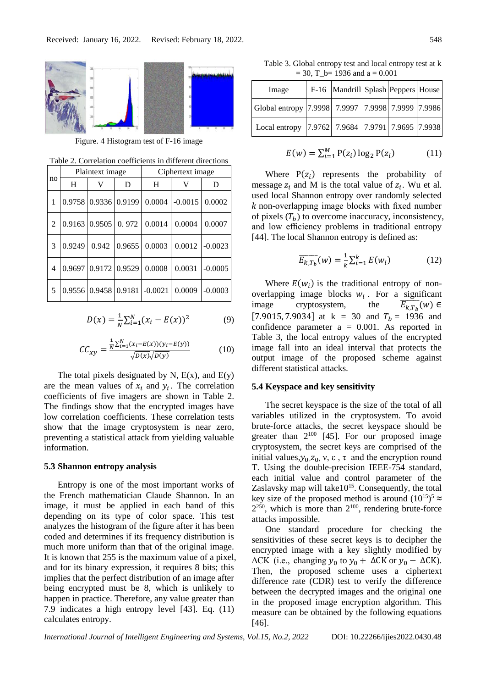

Figure. 4 Histogram test of F-16 image

Table 2. Correlation coefficients in different directions

|    | Plaintext image |                                       |                           | Ciphertext image                                     |           |           |
|----|-----------------|---------------------------------------|---------------------------|------------------------------------------------------|-----------|-----------|
| no | H               | V                                     | D                         | H                                                    | V         | D         |
| 1  |                 | 0.9758 0.9336 0.9199                  |                           | 0.0004                                               | $-0.0015$ | 0.0002    |
| 2  |                 |                                       |                           | $\vert 0.9163 \vert 0.9505 \vert 0.972 \vert 0.0014$ | 0.0004    | 0.0007    |
| 3  | 0.9249          |                                       | $0.942$   0.9655   0.0003 |                                                      | 0.0012    | $-0.0023$ |
| 4  |                 | $0.9697 \mid 0.9172 \mid 0.9529 \mid$ |                           | 0.0008                                               | 0.0031    | $-0.0005$ |
| 5  |                 | $0.9556$ 0.9458 0.9181 -0.0021        |                           |                                                      | 0.0009    | $-0.0003$ |

$$
D(x) = \frac{1}{N} \sum_{i=1}^{N} (x_i - E(x))^2
$$
 (9)

$$
CC_{xy} = \frac{\frac{1}{N} \sum_{i=1}^{N} (x_i - E(x))(y_i - E(y))}{\sqrt{D(x)} \sqrt{D(y)}} \tag{10}
$$

The total pixels designated by N,  $E(x)$ , and  $E(y)$ are the mean values of  $x_i$  and  $y_i$ . The correlation coefficients of five imagers are shown in Table 2. The findings show that the encrypted images have low correlation coefficients. These correlation tests show that the image cryptosystem is near zero, preventing a statistical attack from yielding valuable information.

# **5.3 Shannon entropy analysis**

Entropy is one of the most important works of the French mathematician Claude Shannon. In an image, it must be applied in each band of this depending on its type of color space. This test analyzes the histogram of the figure after it has been coded and determines if its frequency distribution is much more uniform than that of the original image. It is known that 255 is the maximum value of a pixel, and for its binary expression, it requires 8 bits; this implies that the perfect distribution of an image after being encrypted must be 8, which is unlikely to happen in practice. Therefore, any value greater than 7.9 indicates a high entropy level [43]. Eq. (11) calculates entropy.

Table 3. Global entropy test and local entropy test at k  $= 30$ , T b= 1936 and a = 0.001

| Image                                             | F-16  Mandrill Splash   Peppers   House |  |  |
|---------------------------------------------------|-----------------------------------------|--|--|
| Global entropy 7.9998 7.9997 7.9998 7.9999 7.9986 |                                         |  |  |
| Local entropy 7.9762 7.9684 7.9791 7.9695 7.9938  |                                         |  |  |

$$
E(w) = \sum_{i=1}^{M} P(z_i) \log_2 P(z_i)
$$
 (11)

Where  $P(z_i)$  represents the probability of message  $z_i$  and M is the total value of  $z_i$ . Wu et al. used local Shannon entropy over randomly selected non-overlapping image blocks with fixed number of pixels  $(T_b)$  to overcome inaccuracy, inconsistency, and low efficiency problems in traditional entropy [44]. The local Shannon entropy is defined as:

$$
\overline{E_{k,T_b}}(w) = \frac{1}{k} \sum_{i=1}^{k} E(w_i)
$$
 (12)

Where  $E(w_i)$  is the traditional entropy of nonoverlapping image blocks  $w_i$ . For a significant image cryptosystem, the  $E_{k,T_h}(w) \in$ [7.9015, 7.9034] at  $k = 30$  and  $T_b = 1936$  and confidence parameter  $a = 0.001$ . As reported in Table 3, the local entropy values of the encrypted image fall into an ideal interval that protects the output image of the proposed scheme against different statistical attacks.

#### **5.4 Keyspace and key sensitivity**

The secret keyspace is the size of the total of all variables utilized in the cryptosystem. To avoid brute-force attacks, the secret keyspace should be greater than  $2^{100}$  [45]. For our proposed image cryptosystem, the secret keys are comprised of the initial values,  $y_0, z_0, v, \varepsilon$ ,  $\tau$  and the encryption round T. Using the double-precision IEEE-754 standard, each initial value and control parameter of the Zaslavsky map will take  $10^{15}$ . Consequently, the total key size of the proposed method is around  $(10^{15})^5$   $\approx$  $2^{250}$ , which is more than  $2^{100}$ , rendering brute-force attacks impossible.

One standard procedure for checking the sensitivities of these secret keys is to decipher the encrypted image with a key slightly modified by  $\Delta$ CK (i.e., changing  $y_0$  to  $y_0 + \Delta$ CK or  $y_0 - \Delta$ CK). Then, the proposed scheme uses a ciphertext difference rate (CDR) test to verify the difference between the decrypted images and the original one in the proposed image encryption algorithm. This measure can be obtained by the following equations [46].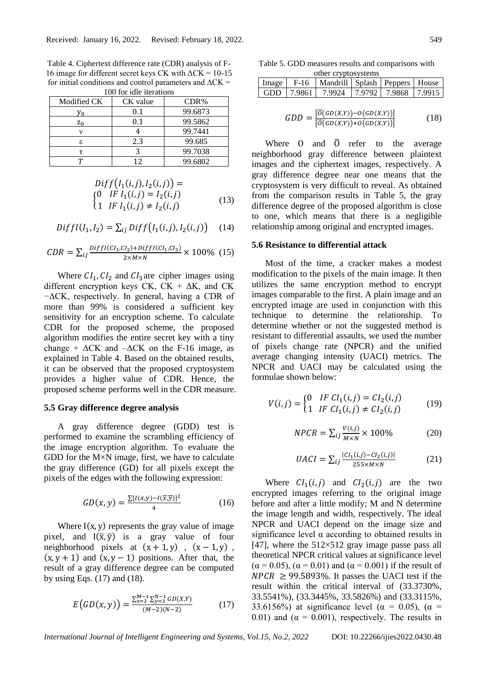Table 4. Ciphertext difference rate (CDR) analysis of F-16 image for different secret keys CK with  $\Delta$ CK = 10-15 for initial conditions and control parameters and  $\Delta$ CK = 100 for idle iterations

| Modified CK  | CK value | CDR%    |
|--------------|----------|---------|
| $V_{\Omega}$ | 0.1      | 99.6873 |
| $z_0$        | 0.1      | 99.5862 |
|              |          | 99.7441 |
| ε.           | 2.3      | 99.685  |
|              |          | 99.7038 |
|              | 12       | 99.6802 |

$$
Diff(I1(i, j), I2(i, j)) =\n(0 IF I1(i, j) = I2(i, j)\n(1 IF I1(i, j) \neq I2(i, j)
$$
\n(13)

$$
Diff(I_1, I_2) = \sum_{ij} Diff(I_1(i, j), I_2(i, j)) \quad (14)
$$

$$
CDR = \sum_{ij} \frac{DiffI(Cl_1,Cl_2) + DiffI(Cl_1,Cl_3)}{2 \times M \times N} \times 100\% \tag{15}
$$

Where  $CI_1$ ,  $CI_2$  and  $CI_3$  are cipher images using different encryption keys CK,  $CK + \Delta K$ , and CK −ΔCK, respectively. In general, having a CDR of more than 99% is considered a sufficient key sensitivity for an encryption scheme. To calculate CDR for the proposed scheme, the proposed algorithm modifies the entire secret key with a tiny change +  $\Delta$ CK and  $-\Delta$ CK on the F-16 image, as explained in Table 4. Based on the obtained results, it can be observed that the proposed cryptosystem provides a higher value of CDR. Hence, the proposed scheme performs well in the CDR measure.

### **5.5 Gray difference degree analysis**

A gray difference degree (GDD) test is performed to examine the scrambling efficiency of the image encryption algorithm. To evaluate the GDD for the  $M \times N$  image, first, we have to calculate the gray difference (GD) for all pixels except the pixels of the edges with the following expression:

$$
GD(x,y) = \frac{\sum [I(x,y) - I(\overline{x},\overline{y})]^2}{4}
$$
 (16)

Where  $I(x, y)$  represents the gray value of image pixel, and  $I(\bar{x}, \bar{y})$  is a gray value of four neighborhood pixels at  $(x + 1, y)$ ,  $(x - 1, y)$ ,  $(x, y + 1)$  and  $(x, y - 1)$  positions. After that, the result of a gray difference degree can be computed by using Eqs.  $(17)$  and  $(18)$ .

$$
E\big(GD(x,y)\big) = \frac{\sum_{x=2}^{M-1} \sum_{y=2}^{N-1} GD(x,y)}{(M-2)(N-2)}\tag{17}
$$

Table 5. GDD measures results and comparisons with other cryptosystems

|  | Image   F-16   Mandrill   Splash   Peppers   House |  |  |
|--|----------------------------------------------------|--|--|
|  | GDD   7.9861   7.9924   7.9792   7.9868   7.9915   |  |  |

$$
GDD = \frac{\left[\overline{o}(GD(x, y)) - o(GD(x, y))\right]}{\left[\overline{o}(GD(x, y)) + o(GD(x, y))\right]}
$$
(18)

Where O and  $\overline{0}$  refer to the average neighborhood gray difference between plaintext images and the ciphertext images, respectively. A gray difference degree near one means that the cryptosystem is very difficult to reveal. As obtained from the comparison results in Table 5, the gray difference degree of the proposed algorithm is close to one, which means that there is a negligible relationship among original and encrypted images.

### **5.6 Resistance to differential attack**

Most of the time, a cracker makes a modest modification to the pixels of the main image. It then utilizes the same encryption method to encrypt images comparable to the first. A plain image and an encrypted image are used in conjunction with this technique to determine the relationship. To determine whether or not the suggested method is resistant to differential assaults, we used the number of pixels change rate (NPCR) and the unified average changing intensity (UACI) metrics. The NPCR and UACI may be calculated using the formulae shown below:

$$
V(i,j) = \begin{cases} 0 & \text{IF } CI_1(i,j) = CI_2(i,j) \\ 1 & \text{IF } CI_1(i,j) \neq CI_2(i,j) \end{cases} \tag{19}
$$

$$
NPCR = \sum_{ij} \frac{V(i,j)}{M \times N} \times 100\%
$$
 (20)

$$
UACI = \sum_{ij} \frac{|CI_1(i,j) - CI_2(i,j)|}{255 \times M \times N}
$$
 (21)

Where  $CI_1(i, j)$  and  $CI_2(i, j)$  are the two encrypted images referring to the original image before and after a little modify; M and N determine the image length and width, respectively. The ideal NPCR and UACI depend on the image size and significance level  $\alpha$  according to obtained results in [47], where the  $512\times512$  gray image passe pass all theoretical NPCR critical values at significance level  $(\alpha = 0.05)$ ,  $(\alpha = 0.01)$  and  $(\alpha = 0.001)$  if the result of  $NPCR \ge 99.5893\%$ . It passes the UACI test if the result within the critical interval of (33.3730%, 33.5541%), (33.3445%, 33.5826%) and (33.3115%, 33.6156%) at significance level ( $\alpha = 0.05$ ), ( $\alpha =$ 0.01) and ( $\alpha = 0.001$ ), respectively. The results in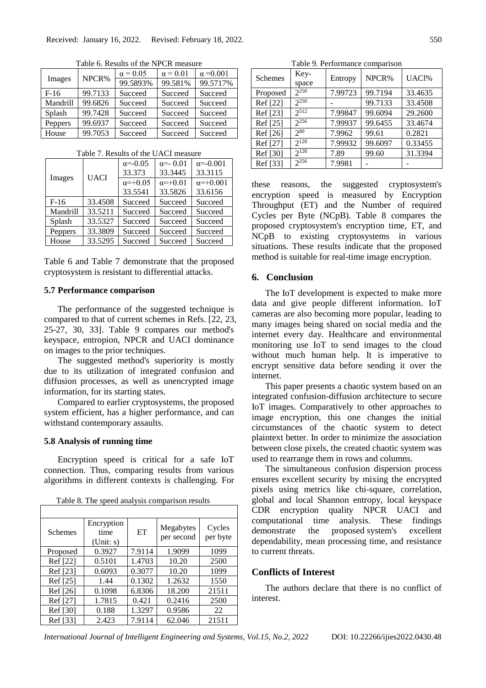Images NPCR%  $\alpha = 0.05$   $\alpha = 0.01$   $\alpha = 0.001$ <br>00.59020 00.5910  $\alpha = 0.0178$ 99.5893% 99.581% 99.5717% F-16 99.7133 Succeed Succeed Succeed Mandrill 99.6826 Succeed Succeed Succeed Splash 99.7428 Succeed Succeed Succeed Peppers 99.6937 Succeed Succeed Succeed House 99.7053 Succeed Succeed Succeed

Table 6. Results of the NPCR measure

|          |             | $\alpha = -0.05$ | $\alpha = -0.01$ | $\alpha = -0.001$ |
|----------|-------------|------------------|------------------|-------------------|
| Images   | <b>UACI</b> | 33.373           | 33.3445          | 33.3115           |
|          |             | $\alpha = +0.05$ | $\alpha = +0.01$ | $\alpha = +0.001$ |
|          |             | 33.5541          | 33.5826          | 33.6156           |
| $F-16$   | 33.4508     | Succeed          | Succeed          | Succeed           |
| Mandrill | 33.5211     | Succeed          | Succeed          | Succeed           |
| Splash   | 33.5327     | Succeed          | Succeed          | Succeed           |
| Peppers  | 33.3809     | Succeed          | Succeed          | Succeed           |
| House    | 33.5295     | Succeed          | Succeed          | Succeed           |

Table 6 and Table 7 demonstrate that the proposed cryptosystem is resistant to differential attacks.

### **5.7 Performance comparison**

The performance of the suggested technique is compared to that of current schemes in Refs. [22, 23, 25-27, 30, 33]. Table 9 compares our method's keyspace, entropion, NPCR and UACI dominance on images to the prior techniques.

The suggested method's superiority is mostly due to its utilization of integrated confusion and diffusion processes, as well as unencrypted image information, for its starting states.

Compared to earlier cryptosystems, the proposed system efficient, has a higher performance, and can withstand contemporary assaults.

### **5.8 Analysis of running time**

Encryption speed is critical for a safe IoT connection. Thus, comparing results from various algorithms in different contexts is challenging. For

Table 8. The speed analysis comparison results

| Schemes  | Encryption<br>time<br>(Unit: s) | ET     | Megabytes<br>per second | Cycles<br>per byte |
|----------|---------------------------------|--------|-------------------------|--------------------|
| Proposed | 0.3927                          | 7.9114 | 1.9099                  | 1099               |
| Ref [22] | 0.5101                          | 1.4703 | 10.20                   | 2500               |
| Ref [23] | 0.6093                          | 0.3077 | 10.20                   | 1099               |
| Ref [25] | 1.44                            | 0.1302 | 1.2632                  | 1550               |
| Ref [26] | 0.1098                          | 6.8306 | 18.200                  | 21511              |
| Ref [27] | 1.7815                          | 0.421  | 0.2416                  | 2500               |
| Ref [30] | 0.188                           | 1.3297 | 0.9586                  | 22                 |
| Ref [33] | 2.423                           | 7.9114 | 62.046                  | 21511              |

Table 9. Performance comparison

| Schemes  | Key-<br>space | Entropy | NPCR%   | UAC <sub>1%</sub> |
|----------|---------------|---------|---------|-------------------|
| Proposed | $2^{250}$     | 7.99723 | 99.7194 | 33.4635           |
| Ref [22] | 2250          |         | 99.7133 | 33.4508           |
| Ref [23] | 2512          | 7.99847 | 99.6094 | 29.2600           |
| Ref [25] | $2^{256}$     | 7.99937 | 99.6455 | 33.4674           |
| Ref [26] | $2^{80}$      | 7.9962  | 99.61   | 0.2821            |
| Ref [27] | $2^{128}$     | 7.99932 | 99.6097 | 0.33455           |
| Ref [30] | $2^{128}$     | 7.89    | 99.60   | 31.3394           |
| Ref [33] | 2256          | 7.9981  |         |                   |

these reasons, the suggested cryptosystem's encryption speed is measured by Encryption Throughput (ET) and the Number of required Cycles per Byte (NCpB). Table 8 compares the proposed cryptosystem's encryption time, ET, and NCpB to existing cryptosystems in various situations. These results indicate that the proposed method is suitable for real-time image encryption.

### **6. Conclusion**

The IoT development is expected to make more data and give people different information. IoT cameras are also becoming more popular, leading to many images being shared on social media and the internet every day. Healthcare and environmental monitoring use IoT to send images to the cloud without much human help. It is imperative to encrypt sensitive data before sending it over the internet.

This paper presents a chaotic system based on an integrated confusion-diffusion architecture to secure IoT images. Comparatively to other approaches to image encryption, this one changes the initial circumstances of the chaotic system to detect plaintext better. In order to minimize the association between close pixels, the created chaotic system was used to rearrange them in rows and columns.

The simultaneous confusion dispersion process ensures excellent security by mixing the encrypted pixels using metrics like chi-square, correlation, global and local Shannon entropy, local keyspace CDR encryption quality NPCR UACI and computational time analysis. These findings demonstrate the proposed system's excellent dependability, mean processing time, and resistance to current threats.

## **Conflicts of Interest**

The authors declare that there is no conflict of interest.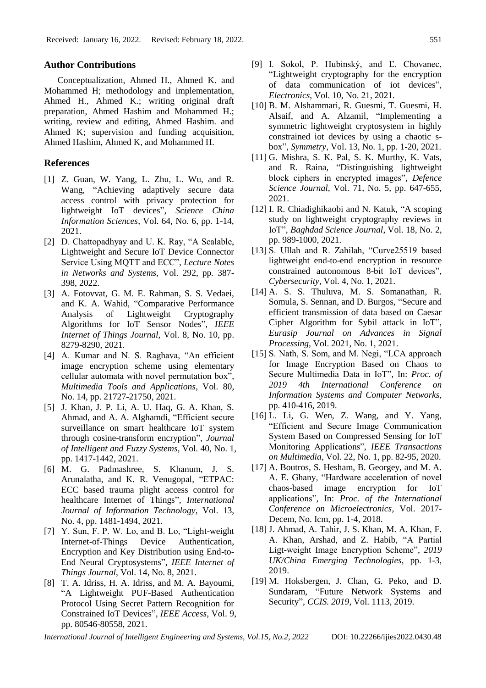### **Author Contributions**

Conceptualization, Ahmed H., Ahmed K. and Mohammed H; methodology and implementation, Ahmed H., Ahmed K.; writing original draft preparation, Ahmed Hashim and Mohammed H.; writing, review and editing, Ahmed Hashim. and Ahmed K; supervision and funding acquisition, Ahmed Hashim, Ahmed K, and Mohammed H.

### **References**

- [1] Z. Guan, W. Yang, L. Zhu, L. Wu, and R. Wang, "Achieving adaptively secure data access control with privacy protection for lightweight IoT devices", *Science China Information Sciences*, Vol. 64, No. 6, pp. 1-14, 2021.
- [2] D. Chattopadhyay and U. K. Ray, "A Scalable, Lightweight and Secure IoT Device Connector Service Using MQTT and ECC", *Lecture Notes in Networks and Systems*, Vol. 292, pp. 387- 398, 2022.
- [3] A. Fotovvat, G. M. E. Rahman, S. S. Vedaei, and K. A. Wahid, "Comparative Performance Analysis of Lightweight Cryptography Algorithms for IoT Sensor Nodes", *IEEE Internet of Things Journal*, Vol. 8, No. 10, pp. 8279-8290, 2021.
- [4] A. Kumar and N. S. Raghava, "An efficient image encryption scheme using elementary cellular automata with novel permutation box", *Multimedia Tools and Applications*, Vol. 80, No. 14, pp. 21727-21750, 2021.
- [5] J. Khan, J. P. Li, A. U. Haq, G. A. Khan, S. Ahmad, and A. A. Alghamdi, "Efficient secure surveillance on smart healthcare IoT system through cosine-transform encryption", *Journal of Intelligent and Fuzzy Systems*, Vol. 40, No. 1, pp. 1417-1442, 2021.
- [6] M. G. Padmashree, S. Khanum, J. S. Arunalatha, and K. R. Venugopal, "ETPAC: ECC based trauma plight access control for healthcare Internet of Things", *International Journal of Information Technology*, Vol. 13, No. 4, pp. 1481-1494, 2021.
- [7] Y. Sun, F. P. W. Lo, and B. Lo, "Light-weight" Internet-of-Things Device Authentication, Encryption and Key Distribution using End-to-End Neural Cryptosystems", *IEEE Internet of Things Journal*, Vol. 14, No. 8, 2021.
- [8] T. A. Idriss, H. A. Idriss, and M. A. Bayoumi, "A Lightweight PUF-Based Authentication Protocol Using Secret Pattern Recognition for Constrained IoT Devices", *IEEE Access*, Vol. 9, pp. 80546-80558, 2021.
- [9] I. Sokol, P. Hubinský, and Ľ. Chovanec, "Lightweight cryptography for the encryption of data communication of iot devices", *Electronics*, Vol. 10, No. 21, 2021.
- [10] B. M. Alshammari, R. Guesmi, T. Guesmi, H. Alsaif, and A. Alzamil, "Implementing a symmetric lightweight cryptosystem in highly constrained iot devices by using a chaotic sbox", *Symmetry*, Vol. 13, No. 1, pp. 1-20, 2021.
- [11] G. Mishra, S. K. Pal, S. K. Murthy, K. Vats, and R. Raina, "Distinguishing lightweight block ciphers in encrypted images", *Defence Science Journal*, Vol. 71, No. 5, pp. 647-655, 2021.
- [12] I. R. Chiadighikaobi and N. Katuk, "A scoping study on lightweight cryptography reviews in IoT", *Baghdad Science Journal*, Vol. 18, No. 2, pp. 989-1000, 2021.
- [13] S. Ullah and R. Zahilah, "Curve25519 based lightweight end-to-end encryption in resource constrained autonomous 8-bit IoT devices", *Cybersecurity*, Vol. 4, No. 1, 2021.
- [14] A. S. S. Thuluva, M. S. Somanathan, R. Somula, S. Sennan, and D. Burgos, "Secure and efficient transmission of data based on Caesar Cipher Algorithm for Sybil attack in IoT", *Eurasip Journal on Advances in Signal Processing*, Vol. 2021, No. 1, 2021.
- [15] S. Nath, S. Som, and M. Negi, "LCA approach for Image Encryption Based on Chaos to Secure Multimedia Data in IoT", In: *Proc. of 2019 4th International Conference on Information Systems and Computer Networks*, pp. 410-416, 2019.
- [16] L. Li, G. Wen, Z. Wang, and Y. Yang, "Efficient and Secure Image Communication System Based on Compressed Sensing for IoT Monitoring Applications", *IEEE Transactions on Multimedia*, Vol. 22, No. 1, pp. 82-95, 2020.
- [17] A. Boutros, S. Hesham, B. Georgey, and M. A. A. E. Ghany, "Hardware acceleration of novel chaos-based image encryption for IoT applications", In: *Proc. of the International Conference on Microelectronics*, Vol. 2017- Decem, No. Icm, pp. 1-4, 2018.
- [18] J. Ahmad, A. Tahir, J. S. Khan, M. A. Khan, F. A. Khan, Arshad, and Z. Habib, "A Partial Ligt-weight Image Encryption Scheme", *2019 UK/China Emerging Technologies*, pp. 1-3, 2019.
- [19] M. Hoksbergen, J. Chan, G. Peko, and D. Sundaram, "Future Network Systems and Security", *CCIS. 2019*, Vol. 1113, 2019.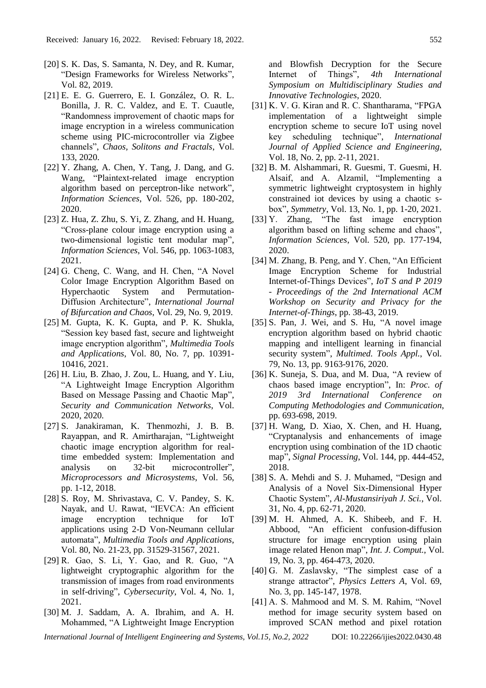- [20] S. K. Das, S. Samanta, N. Dey, and R. Kumar, "Design Frameworks for Wireless Networks", Vol. 82, 2019.
- [21] E. E. G. Guerrero, E. I. González, O. R. L. Bonilla, J. R. C. Valdez, and E. T. Cuautle, "Randomness improvement of chaotic maps for image encryption in a wireless communication scheme using PIC-microcontroller via Zigbee channels", *Chaos, Solitons and Fractals*, Vol. 133, 2020.
- [22] Y. Zhang, A. Chen, Y. Tang, J. Dang, and G. Wang, "Plaintext-related image encryption algorithm based on perceptron-like network", *Information Sciences*, Vol. 526, pp. 180-202, 2020.
- [23] Z. Hua, Z. Zhu, S. Yi, Z. Zhang, and H. Huang, "Cross-plane colour image encryption using a two-dimensional logistic tent modular map", *Information Sciences*, Vol. 546, pp. 1063-1083, 2021.
- [24] G. Cheng, C. Wang, and H. Chen, "A Novel Color Image Encryption Algorithm Based on Hyperchaotic System and Permutation-Diffusion Architecture", *International Journal of Bifurcation and Chaos*, Vol. 29, No. 9, 2019.
- [25] M. Gupta, K. K. Gupta, and P. K. Shukla, "Session key based fast, secure and lightweight image encryption algorithm", *Multimedia Tools and Applications*, Vol. 80, No. 7, pp. 10391- 10416, 2021.
- [26] H. Liu, B. Zhao, J. Zou, L. Huang, and Y. Liu, "A Lightweight Image Encryption Algorithm Based on Message Passing and Chaotic Map", *Security and Communication Networks*, Vol. 2020, 2020.
- [27] S. Janakiraman, K. Thenmozhi, J. B. B. Rayappan, and R. Amirtharajan, "Lightweight chaotic image encryption algorithm for realtime embedded system: Implementation and analysis on 32-bit microcontroller", *Microprocessors and Microsystems*, Vol. 56, pp. 1-12, 2018.
- [28] S. Roy, M. Shrivastava, C. V. Pandey, S. K. Nayak, and U. Rawat, "IEVCA: An efficient image encryption technique for IoT applications using 2-D Von-Neumann cellular automata", *Multimedia Tools and Applications*, Vol. 80, No. 21-23, pp. 31529-31567, 2021.
- [29] R. Gao, S. Li, Y. Gao, and R. Guo, "A lightweight cryptographic algorithm for the transmission of images from road environments in self-driving", *Cybersecurity*, Vol. 4, No. 1, 2021.
- [30] M. J. Saddam, A. A. Ibrahim, and A. H. Mohammed, "A Lightweight Image Encryption

and Blowfish Decryption for the Secure Internet of Things", *4th International Symposium on Multidisciplinary Studies and Innovative Technologies*, 2020.

- [31] K. V. G. Kiran and R. C. Shantharama, "FPGA implementation of a lightweight simple encryption scheme to secure IoT using novel key scheduling technique", *International Journal of Applied Science and Engineering*, Vol. 18, No. 2, pp. 2-11, 2021.
- [32] B. M. Alshammari, R. Guesmi, T. Guesmi, H. Alsaif, and A. Alzamil, "Implementing a symmetric lightweight cryptosystem in highly constrained iot devices by using a chaotic sbox", *Symmetry*, Vol. 13, No. 1, pp. 1-20, 2021.
- [33] Y. Zhang, "The fast image encryption algorithm based on lifting scheme and chaos", *Information Sciences*, Vol. 520, pp. 177-194, 2020.
- [34] M. Zhang, B. Peng, and Y. Chen, "An Efficient" Image Encryption Scheme for Industrial Internet-of-Things Devices", *IoT S and P 2019 - Proceedings of the 2nd International ACM Workshop on Security and Privacy for the Internet-of-Things*, pp. 38-43, 2019.
- [35] S. Pan, J. Wei, and S. Hu, "A novel image encryption algorithm based on hybrid chaotic mapping and intelligent learning in financial security system", *Multimed. Tools Appl.*, Vol. 79, No. 13, pp. 9163-9176, 2020.
- [36] K. Suneja, S. Dua, and M. Dua, "A review of chaos based image encryption", In: *Proc. of 2019 3rd International Conference on Computing Methodologies and Communication*, pp. 693-698, 2019.
- [37] H. Wang, D. Xiao, X. Chen, and H. Huang, "Cryptanalysis and enhancements of image encryption using combination of the 1D chaotic map", *Signal Processing*, Vol. 144, pp. 444-452, 2018.
- [38] S. A. Mehdi and S. J. Muhamed, "Design and Analysis of a Novel Six-Dimensional Hyper Chaotic System", *Al-Mustansiriyah J. Sci.*, Vol. 31, No. 4, pp. 62-71, 2020.
- [39] M. H. Ahmed, A. K. Shibeeb, and F. H. Abbood, "An efficient confusion-diffusion structure for image encryption using plain image related Henon map", *Int. J. Comput.*, Vol. 19, No. 3, pp. 464-473, 2020.
- [40] G. M. Zaslavsky, "The simplest case of a strange attractor", *Physics Letters A*, Vol. 69, No. 3, pp. 145-147, 1978.
- [41] A. S. Mahmood and M. S. M. Rahim, "Novel method for image security system based on improved SCAN method and pixel rotation